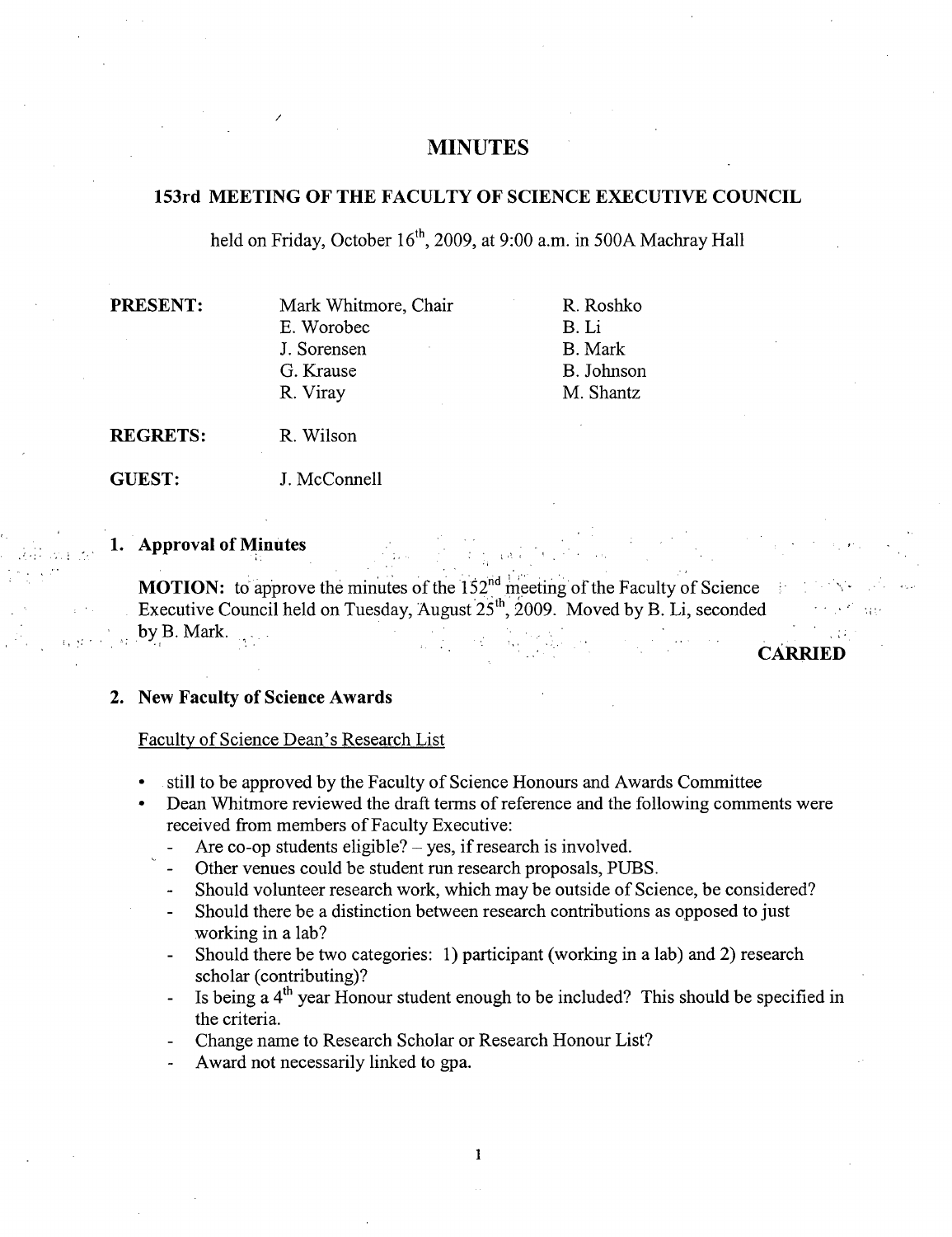# **MINUTES**

# **153rd MEETING OF THE FACULTY OF SCIENCE EXECUTIVE COUNCIL**

held on Friday, October  $16<sup>th</sup>$ , 2009, at 9:00 a.m. in 500A Machray Hall

| <b>PRESENT:</b> | Mark Whitmore, Chair | R. Roshko  |
|-----------------|----------------------|------------|
|                 | E. Worobec           | B. Li      |
|                 | J. Sorensen          | B. Mark    |
|                 | G. Krause            | B. Johnson |
|                 | R. Viray             | M. Shantz  |
|                 |                      |            |

**REGRETS: R.** Wilson

**GUEST:** J. McConnell

/

# **1. Approval of Minutes**

**MOTION:** to approve the minutes of the  $152<sup>nd</sup>$  meeting of the Faculty of Science Executive Council held on Tuesday, August  $25<sup>th</sup>$ , 2009. Moved by B. Li, seconded by B. Mark.

**CARRIED** 

## **New Faculty of Science Awards**

## Faculty of Science Dean's Research List

- still to be approved by the Faculty of Science Honours and Awards Committee
- Dean Whitmore reviewed the draft terms of reference and the following comments were received from members of Faculty Executive:
	- Are co-op students eligible?  $-$  yes, if research is involved.
	- Other venues could be student run research proposals, PUBS.
	- Should volunteer research work, which may be outside of Science, be considered?
	- Should there be a distinction between research contributions as opposed to just working in a lab?
	- Should there be two categories: 1) participant (working in a lab) and 2) research scholar (contributing)?
	- Is being a  $4<sup>th</sup>$  year Honour student enough to be included? This should be specified in the criteria.
	- Change name to Research Scholar or Research Honour List?
	- Award not necessarily linked to gpa.

1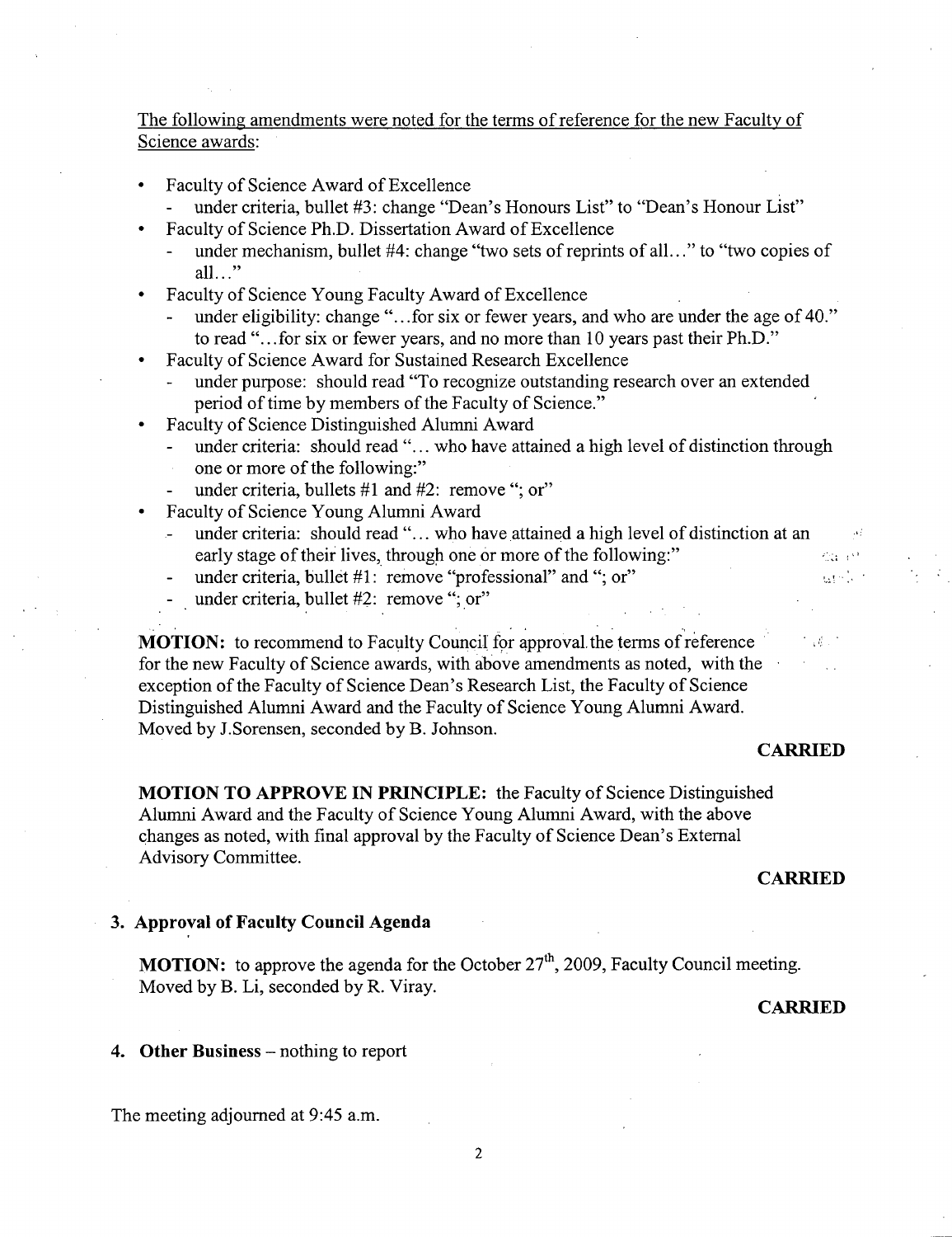# The following amendments were noted for the terms of reference for the new Faculty of Science awards:

- Faculty of Science Award of Excellence
	- under criteria, bullet #3: change "Dean's Honours List" to "Dean's Honour List"
	- Faculty of Science Ph.D. Dissertation Award of Excellence
		- under mechanism, bullet #4: change "two sets of reprints of all..." to "two copies of all $\ldots$ "
- Faculty of Science Young Faculty Award of Excellence
	- under eligibility: change "...for six or fewer years, and who are under the age of 40." to read "...for six or fewer years, and no more than 10 years past their Ph.D."
- Faculty of Science Award for Sustained Research Excellence
	- under purpose: should read "To recognize outstanding research over an extended period of time by members of the Faculty of Science."
- Faculty of Science Distinguished Alumni Award
	- under criteria: should read "... who have attained a high level of distinction through one or more of the following:"
	- under criteria, bullets  $#1$  and  $#2$ : remove "; or"
- Faculty of Science Young Alumni Award
	- under criteria: should read"... who have attained a high level of distinction at an early stage of their lives, through one or more of the following:" 631, 632
	- under criteria, bullet #1: remove "professional" and "; or"
	- under criteria, bullet #2: remove "; or"

**MOTION:** to recommend to Faculty Council for approval the terms of reference for the new Faculty of Science awards, with above amendments as noted, with the exception of the Faculty of Science Dean's Research List, the Faculty of Science Distinguished Alumni Award and the Faculty of Science Young Alumni Award. Moved by J.Sorensen, seconded by B. Johnson.

#### **CARRIED**

arskir

**MOTION TO APPROVE IN PRINCIPLE:** the Faculty of Science Distinguished Alumni Award and the Faculty of Science Young Alumni Award, with the above changes as noted, with final approval by the Faculty of Science Dean's External Advisory Committee.

#### **CARRIED**

## **Approval of Faculty Council Agenda**

**MOTION:** to approve the agenda for the October 27<sup>th</sup>, 2009, Faculty Council meeting. Moved by B. Li, seconded by R. Viray.

## **CARRIED**

4. Other Business – nothing to report

The meeting adjourned at 9:45 a.m.